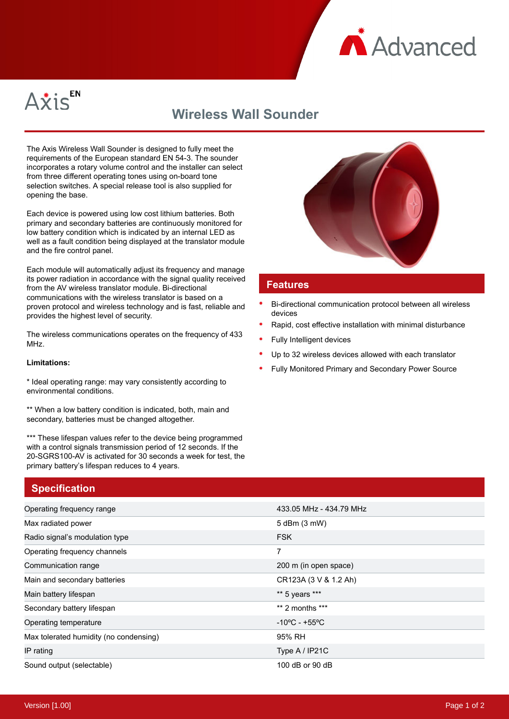



## **Wireless Wall Sounder**

The Axis Wireless Wall Sounder is designed to fully meet the requirements of the European standard EN 54-3. The sounder incorporates a rotary volume control and the installer can select from three different operating tones using on-board tone selection switches. A special release tool is also supplied for opening the base.

Each device is powered using low cost lithium batteries. Both primary and secondary batteries are continuously monitored for low battery condition which is indicated by an internal LED as well as a fault condition being displayed at the translator module and the fire control panel.

Each module will automatically adjust its frequency and manage its power radiation in accordance with the signal quality received from the AV wireless translator module. Bi-directional communications with the wireless translator is based on a proven protocol and wireless technology and is fast, reliable and provides the highest level of security.

The wireless communications operates on the frequency of 433 MHz.

## **Limitations:**

\* Ideal operating range: may vary consistently according to environmental conditions.

\*\* When a low battery condition is indicated, both, main and secondary, batteries must be changed altogether.

\*\*\* These lifespan values refer to the device being programmed with a control signals transmission period of 12 seconds. If the 20-SGRS100-AV is activated for 30 seconds a week for test, the primary battery's lifespan reduces to 4 years.

## **Specification**





## **Features**

- Bi-directional communication protocol between all wireless devices
- Rapid, cost effective installation with minimal disturbance
- Fully Intelligent devices
- Up to 32 wireless devices allowed with each translator
- Fully Monitored Primary and Secondary Power Source